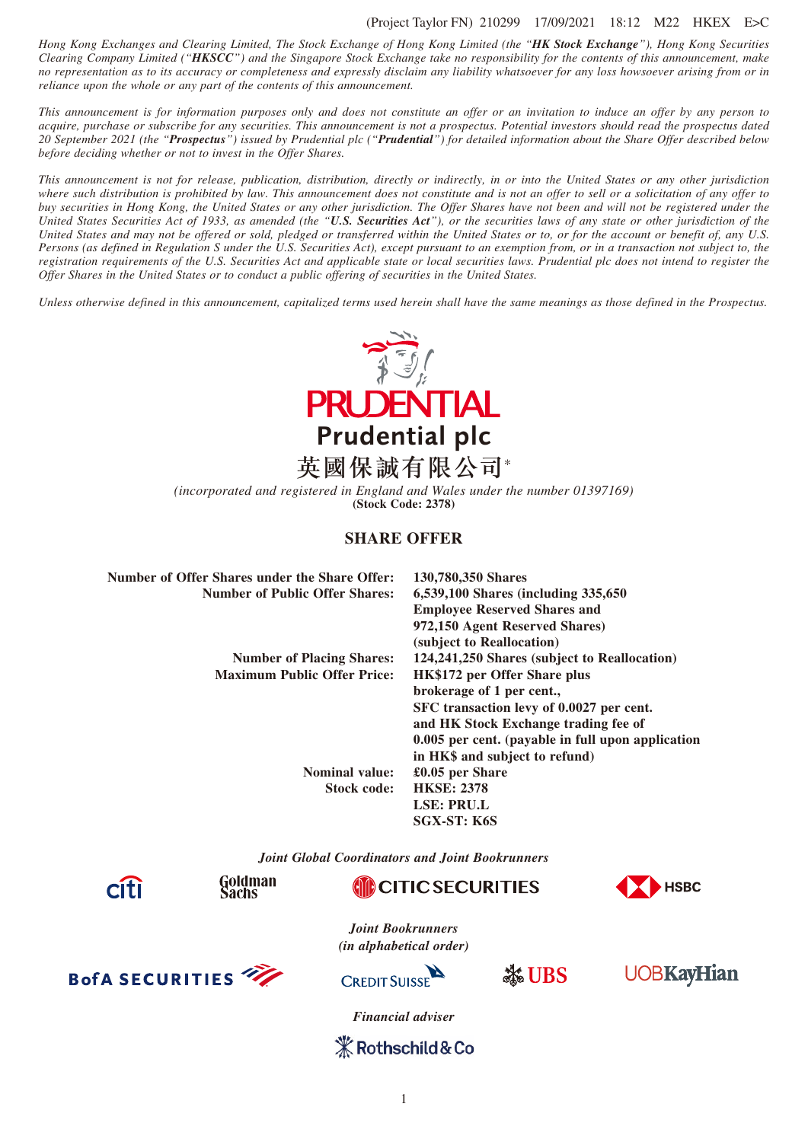#### (Project Taylor FN) 210299 17/09/2021 18:12 M22 HKEX E>C

*Hong Kong Exchanges and Clearing Limited, The Stock Exchange of Hong Kong Limited (the "HK Stock Exchange"), Hong Kong Securities Clearing Company Limited ("HKSCC") and the Singapore Stock Exchange take no responsibility for the contents of this announcement, make no representation as to its accuracy or completeness and expressly disclaim any liability whatsoever for any loss howsoever arising from or in reliance upon the whole or any part of the contents of this announcement.*

*This announcement is for information purposes only and does not constitute an offer or an invitation to induce an offer by any person to acquire, purchase or subscribe for any securities. This announcement is not a prospectus. Potential investors should read the prospectus dated 20 September 2021 (the "Prospectus") issued by Prudential plc ("Prudential") for detailed information about the Share Offer described below before deciding whether or not to invest in the Offer Shares.*

*This announcement is not for release, publication, distribution, directly or indirectly, in or into the United States or any other jurisdiction where such distribution is prohibited by law. This announcement does not constitute and is not an offer to sell or a solicitation of any offer to buy securities in Hong Kong, the United States or any other jurisdiction. The Offer Shares have not been and will not be registered under the United States Securities Act of 1933, as amended (the "U.S. Securities Act"), or the securities laws of any state or other jurisdiction of the United States and may not be offered or sold, pledged or transferred within the United States or to, or for the account or benefit of, any U.S. Persons (as defined in Regulation S under the U.S. Securities Act), except pursuant to an exemption from, or in a transaction not subject to, the registration requirements of the U.S. Securities Act and applicable state or local securities laws. Prudential plc does not intend to register the Offer Shares in the United States or to conduct a public offering of securities in the United States.*

*Unless otherwise defined in this announcement, capitalized terms used herein shall have the same meanings as those defined in the Prospectus.*



*(incorporated and registered in England and Wales under the number 01397169)* **(Stock Code: 2378)**

# **SHARE OFFER**

| Number of Offer Shares under the Share Offer: | 130,780,350 Shares                                |  |  |
|-----------------------------------------------|---------------------------------------------------|--|--|
| <b>Number of Public Offer Shares:</b>         | 6,539,100 Shares (including 335,650)              |  |  |
|                                               | <b>Employee Reserved Shares and</b>               |  |  |
|                                               | 972,150 Agent Reserved Shares)                    |  |  |
|                                               | (subject to Reallocation)                         |  |  |
| <b>Number of Placing Shares:</b>              | 124,241,250 Shares (subject to Reallocation)      |  |  |
| <b>Maximum Public Offer Price:</b>            | <b>HK\$172 per Offer Share plus</b>               |  |  |
|                                               | brokerage of 1 per cent.,                         |  |  |
|                                               | SFC transaction levy of 0.0027 per cent.          |  |  |
|                                               | and HK Stock Exchange trading fee of              |  |  |
|                                               | 0.005 per cent. (payable in full upon application |  |  |
|                                               | in HK\$ and subject to refund)                    |  |  |
| <b>Nominal value:</b>                         | $£0.05$ per Share                                 |  |  |
| Stock code:                                   | <b>HKSE: 2378</b>                                 |  |  |
|                                               | LSE: PRU.L                                        |  |  |
|                                               | SGX-ST: K6S                                       |  |  |
|                                               |                                                   |  |  |

*Joint Global Coordinators and Joint Bookrunners*



Goldman Sachs





*Joint Bookrunners (in alphabetical order)*



**CREDIT SUISSE** 





*Financial adviser*

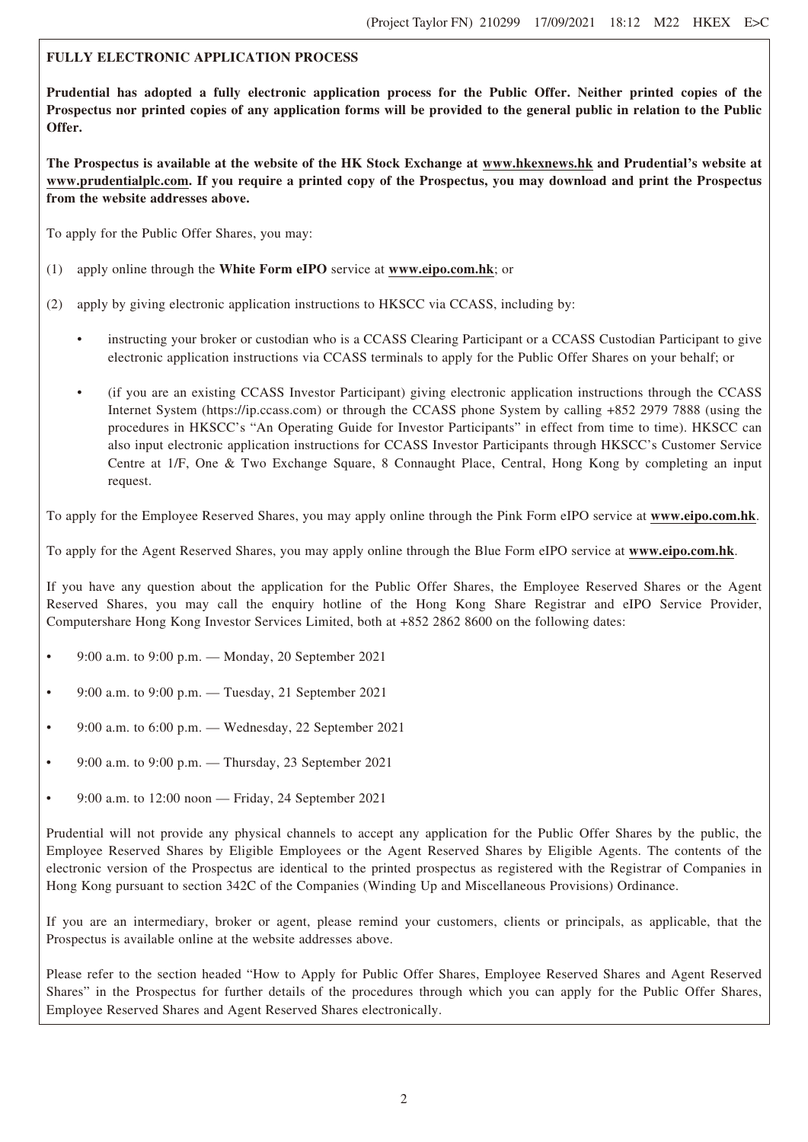# **FULLY ELECTRONIC APPLICATION PROCESS**

**Prudential has adopted a fully electronic application process for the Public Offer. Neither printed copies of the Prospectus nor printed copies of any application forms will be provided to the general public in relation to the Public Offer.**

**The Prospectus is available at the website of the HK Stock Exchange at www.hkexnews.hk and Prudential's website at www.prudentialplc.com. If you require a printed copy of the Prospectus, you may download and print the Prospectus from the website addresses above.**

To apply for the Public Offer Shares, you may:

- (1) apply online through the **White Form eIPO** service at **www.eipo.com.hk**; or
- (2) apply by giving electronic application instructions to HKSCC via CCASS, including by:
	- instructing your broker or custodian who is a CCASS Clearing Participant or a CCASS Custodian Participant to give electronic application instructions via CCASS terminals to apply for the Public Offer Shares on your behalf; or
	- (if you are an existing CCASS Investor Participant) giving electronic application instructions through the CCASS Internet System (https://ip.ccass.com) or through the CCASS phone System by calling +852 2979 7888 (using the procedures in HKSCC's "An Operating Guide for Investor Participants" in effect from time to time). HKSCC can also input electronic application instructions for CCASS Investor Participants through HKSCC's Customer Service Centre at 1/F, One & Two Exchange Square, 8 Connaught Place, Central, Hong Kong by completing an input request.

To apply for the Employee Reserved Shares, you may apply online through the Pink Form eIPO service at **www.eipo.com.hk**.

To apply for the Agent Reserved Shares, you may apply online through the Blue Form eIPO service at **www.eipo.com.hk**.

If you have any question about the application for the Public Offer Shares, the Employee Reserved Shares or the Agent Reserved Shares, you may call the enquiry hotline of the Hong Kong Share Registrar and eIPO Service Provider, Computershare Hong Kong Investor Services Limited, both at +852 2862 8600 on the following dates:

- 9:00 a.m. to 9:00 p.m. Monday, 20 September 2021
- 9:00 a.m. to 9:00 p.m. Tuesday, 21 September 2021
- 9:00 a.m. to  $6:00$  p.m. Wednesday, 22 September 2021
- 9:00 a.m. to 9:00 p.m. Thursday, 23 September 2021
- 9:00 a.m. to  $12:00$  noon Friday, 24 September 2021

Prudential will not provide any physical channels to accept any application for the Public Offer Shares by the public, the Employee Reserved Shares by Eligible Employees or the Agent Reserved Shares by Eligible Agents. The contents of the electronic version of the Prospectus are identical to the printed prospectus as registered with the Registrar of Companies in Hong Kong pursuant to section 342C of the Companies (Winding Up and Miscellaneous Provisions) Ordinance.

If you are an intermediary, broker or agent, please remind your customers, clients or principals, as applicable, that the Prospectus is available online at the website addresses above.

Please refer to the section headed "How to Apply for Public Offer Shares, Employee Reserved Shares and Agent Reserved Shares" in the Prospectus for further details of the procedures through which you can apply for the Public Offer Shares, Employee Reserved Shares and Agent Reserved Shares electronically.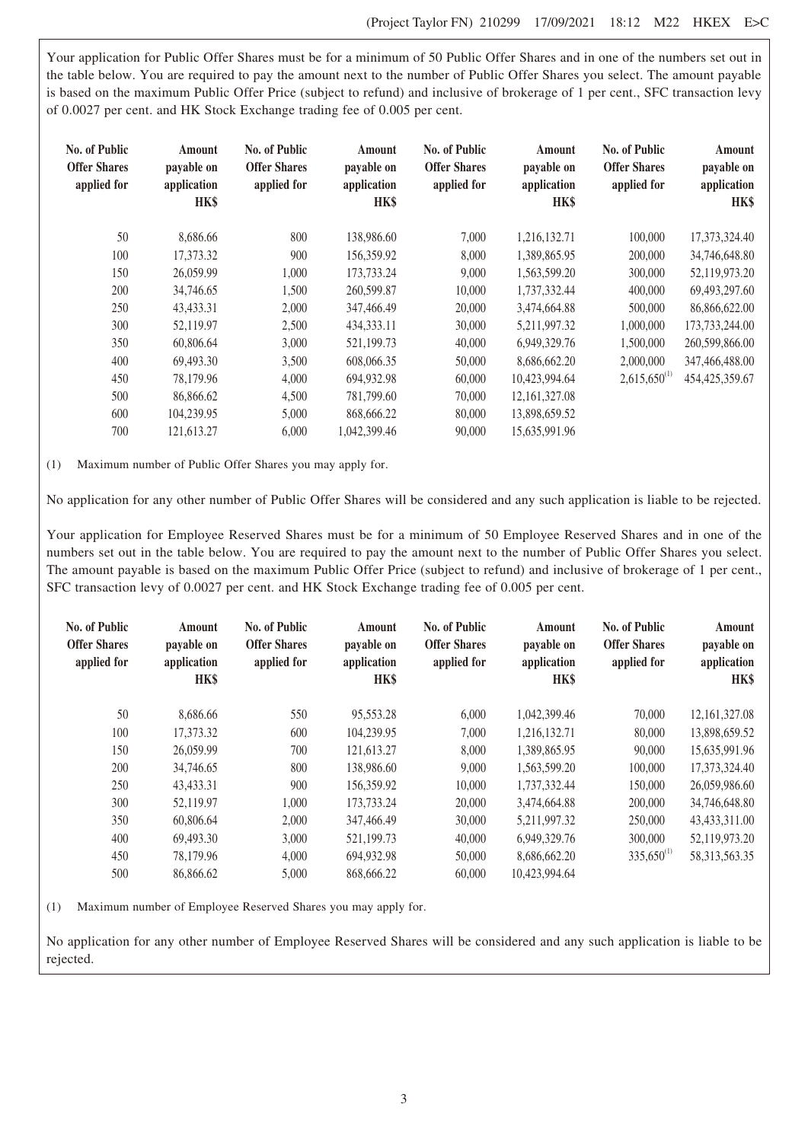Your application for Public Offer Shares must be for a minimum of 50 Public Offer Shares and in one of the numbers set out in the table below. You are required to pay the amount next to the number of Public Offer Shares you select. The amount payable is based on the maximum Public Offer Price (subject to refund) and inclusive of brokerage of 1 per cent., SFC transaction levy of 0.0027 per cent. and HK Stock Exchange trading fee of 0.005 per cent.

| No. of Public<br><b>Offer Shares</b><br>applied for | Amount<br>payable on<br>application<br>HK\$ | <b>No. of Public</b><br><b>Offer Shares</b><br>applied for | Amount<br>payable on<br>application<br>HK\$ | No. of Public<br><b>Offer Shares</b><br>applied for | Amount<br>payable on<br>application<br>HK\$ | No. of Public<br><b>Offer Shares</b><br>applied for | Amount<br>payable on<br>application<br><b>HK\$</b> |
|-----------------------------------------------------|---------------------------------------------|------------------------------------------------------------|---------------------------------------------|-----------------------------------------------------|---------------------------------------------|-----------------------------------------------------|----------------------------------------------------|
| 50                                                  | 8,686.66                                    | 800                                                        | 138,986.60                                  | 7,000                                               | 1,216,132.71                                | 100,000                                             | 17,373,324.40                                      |
| 100                                                 | 17,373.32                                   | 900                                                        | 156,359.92                                  | 8,000                                               | 1,389,865.95                                | 200,000                                             | 34,746,648.80                                      |
| 150                                                 | 26,059.99                                   | 1,000                                                      | 173,733.24                                  | 9,000                                               | 1,563,599.20                                | 300,000                                             | 52,119,973.20                                      |
| 200                                                 | 34,746.65                                   | 1,500                                                      | 260,599.87                                  | 10,000                                              | 1,737,332.44                                | 400,000                                             | 69,493,297.60                                      |
| 250                                                 | 43,433.31                                   | 2,000                                                      | 347,466.49                                  | 20,000                                              | 3,474,664.88                                | 500,000                                             | 86,866,622.00                                      |
| 300                                                 | 52,119.97                                   | 2,500                                                      | 434, 333. 11                                | 30,000                                              | 5,211,997.32                                | 1,000,000                                           | 173,733,244.00                                     |
| 350                                                 | 60,806.64                                   | 3,000                                                      | 521,199.73                                  | 40,000                                              | 6.949.329.76                                | 1,500,000                                           | 260,599,866.00                                     |
| 400                                                 | 69.493.30                                   | 3,500                                                      | 608,066.35                                  | 50,000                                              | 8.686.662.20                                | 2,000,000                                           | 347,466,488.00                                     |
| 450                                                 | 78,179.96                                   | 4,000                                                      | 694,932.98                                  | 60,000                                              | 10,423,994.64                               | $2,615,650^{(1)}$                                   | 454, 425, 359. 67                                  |
| 500                                                 | 86,866.62                                   | 4,500                                                      | 781,799.60                                  | 70,000                                              | 12, 161, 327.08                             |                                                     |                                                    |
| 600                                                 | 104,239.95                                  | 5,000                                                      | 868,666.22                                  | 80,000                                              | 13,898,659.52                               |                                                     |                                                    |
| 700                                                 | 121.613.27                                  | 6,000                                                      | 1.042.399.46                                | 90,000                                              | 15.635.991.96                               |                                                     |                                                    |

(1) Maximum number of Public Offer Shares you may apply for.

No application for any other number of Public Offer Shares will be considered and any such application is liable to be rejected.

Your application for Employee Reserved Shares must be for a minimum of 50 Employee Reserved Shares and in one of the numbers set out in the table below. You are required to pay the amount next to the number of Public Offer Shares you select. The amount payable is based on the maximum Public Offer Price (subject to refund) and inclusive of brokerage of 1 per cent., SFC transaction levy of 0.0027 per cent. and HK Stock Exchange trading fee of 0.005 per cent.

| No. of Public<br><b>Offer Shares</b><br>applied for | Amount<br>payable on<br>application<br>HK\$ | No. of Public<br><b>Offer Shares</b><br>applied for | Amount<br>payable on<br>application<br>HK\$ | No. of Public<br><b>Offer Shares</b><br>applied for | Amount<br>payable on<br>application<br>HK\$ | No. of Public<br><b>Offer Shares</b><br>applied for | Amount<br>payable on<br>application<br><b>HK\$</b> |
|-----------------------------------------------------|---------------------------------------------|-----------------------------------------------------|---------------------------------------------|-----------------------------------------------------|---------------------------------------------|-----------------------------------------------------|----------------------------------------------------|
| 50                                                  | 8.686.66                                    | 550                                                 | 95,553.28                                   | 6.000                                               | 1.042.399.46                                | 70,000                                              | 12, 161, 327.08                                    |
| 100                                                 | 17,373.32                                   | 600                                                 | 104.239.95                                  | 7,000                                               | 1,216,132.71                                | 80,000                                              | 13,898,659.52                                      |
| 150                                                 | 26,059.99                                   | 700                                                 | 121,613.27                                  | 8,000                                               | 1,389,865.95                                | 90,000                                              | 15,635,991.96                                      |
| 200                                                 | 34,746.65                                   | 800                                                 | 138,986.60                                  | 9,000                                               | 1.563.599.20                                | 100,000                                             | 17,373,324.40                                      |
| 250                                                 | 43.433.31                                   | 900                                                 | 156.359.92                                  | 10,000                                              | 1.737.332.44                                | 150,000                                             | 26,059,986.60                                      |
| 300                                                 | 52,119.97                                   | 1,000                                               | 173,733.24                                  | 20,000                                              | 3,474,664.88                                | 200,000                                             | 34,746,648.80                                      |
| 350                                                 | 60,806.64                                   | 2,000                                               | 347,466.49                                  | 30,000                                              | 5.211.997.32                                | 250,000                                             | 43,433,311.00                                      |
| 400                                                 | 69,493.30                                   | 3,000                                               | 521,199.73                                  | 40,000                                              | 6,949,329.76                                | 300,000                                             | 52,119,973.20                                      |
| 450                                                 | 78.179.96                                   | 4,000                                               | 694,932.98                                  | 50,000                                              | 8,686,662.20                                | $335,650^{(1)}$                                     | 58, 313, 563. 35                                   |
| 500                                                 | 86,866.62                                   | 5,000                                               | 868,666.22                                  | 60,000                                              | 10,423,994.64                               |                                                     |                                                    |

(1) Maximum number of Employee Reserved Shares you may apply for.

No application for any other number of Employee Reserved Shares will be considered and any such application is liable to be rejected.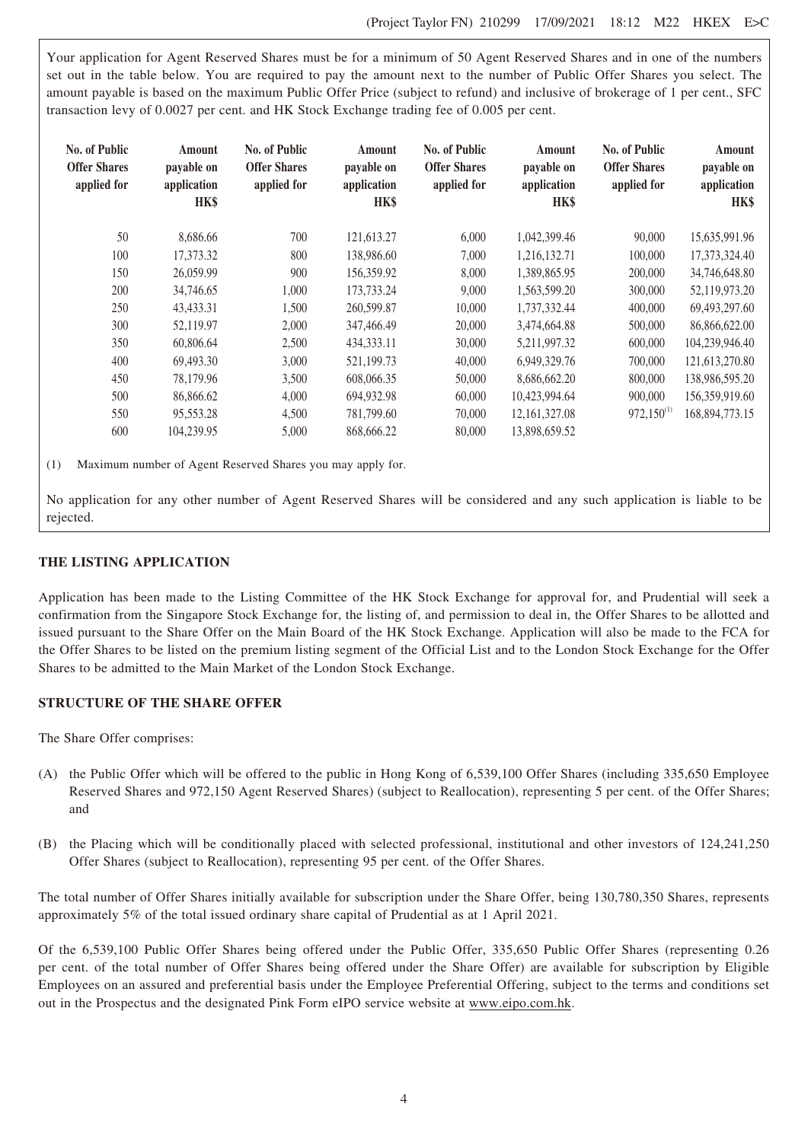Your application for Agent Reserved Shares must be for a minimum of 50 Agent Reserved Shares and in one of the numbers set out in the table below. You are required to pay the amount next to the number of Public Offer Shares you select. The amount payable is based on the maximum Public Offer Price (subject to refund) and inclusive of brokerage of 1 per cent., SFC transaction levy of 0.0027 per cent. and HK Stock Exchange trading fee of 0.005 per cent.

| <b>No. of Public</b><br><b>Offer Shares</b><br>applied for | Amount<br>payable on<br>application<br>HK\$ | No. of Public<br><b>Offer Shares</b><br>applied for | Amount<br>payable on<br>application<br>HK\$ | No. of Public<br><b>Offer Shares</b><br>applied for | Amount<br>payable on<br>application<br>HK\$ | No. of Public<br><b>Offer Shares</b><br>applied for | Amount<br>payable on<br>application<br>HK\$ |
|------------------------------------------------------------|---------------------------------------------|-----------------------------------------------------|---------------------------------------------|-----------------------------------------------------|---------------------------------------------|-----------------------------------------------------|---------------------------------------------|
| 50                                                         | 8,686.66                                    | 700                                                 | 121,613.27                                  | 6,000                                               | 1,042,399.46                                | 90,000                                              | 15,635,991.96                               |
| 100                                                        | 17.373.32                                   | 800                                                 | 138,986.60                                  | 7.000                                               | 1,216,132.71                                | 100,000                                             | 17,373,324.40                               |
| 150                                                        | 26,059.99                                   | 900                                                 | 156,359.92                                  | 8,000                                               | 1,389,865.95                                | 200,000                                             | 34,746,648.80                               |
| 200                                                        | 34,746.65                                   | 1,000                                               | 173,733.24                                  | 9,000                                               | 1,563,599.20                                | 300,000                                             | 52,119,973.20                               |
| 250                                                        | 43,433.31                                   | 1,500                                               | 260,599.87                                  | 10,000                                              | 1.737.332.44                                | 400,000                                             | 69,493,297.60                               |
| 300                                                        | 52,119.97                                   | 2,000                                               | 347,466.49                                  | 20,000                                              | 3,474,664.88                                | 500,000                                             | 86,866,622.00                               |
| 350                                                        | 60,806.64                                   | 2,500                                               | 434, 333. 11                                | 30,000                                              | 5,211,997.32                                | 600,000                                             | 104,239,946.40                              |
| 400                                                        | 69,493.30                                   | 3,000                                               | 521,199.73                                  | 40,000                                              | 6,949,329.76                                | 700,000                                             | 121,613,270.80                              |
| 450                                                        | 78.179.96                                   | 3,500                                               | 608,066.35                                  | 50,000                                              | 8,686,662.20                                | 800,000                                             | 138,986,595.20                              |
| 500                                                        | 86,866.62                                   | 4,000                                               | 694,932.98                                  | 60,000                                              | 10,423,994.64                               | 900,000                                             | 156,359,919.60                              |
| 550                                                        | 95,553.28                                   | 4,500                                               | 781,799.60                                  | 70,000                                              | 12, 161, 327.08                             | $972,150^{(1)}$                                     | 168,894,773.15                              |
| 600                                                        | 104,239.95                                  | 5,000                                               | 868,666.22                                  | 80,000                                              | 13,898,659.52                               |                                                     |                                             |

(1) Maximum number of Agent Reserved Shares you may apply for.

No application for any other number of Agent Reserved Shares will be considered and any such application is liable to be rejected.

# **THE LISTING APPLICATION**

Application has been made to the Listing Committee of the HK Stock Exchange for approval for, and Prudential will seek a confirmation from the Singapore Stock Exchange for, the listing of, and permission to deal in, the Offer Shares to be allotted and issued pursuant to the Share Offer on the Main Board of the HK Stock Exchange. Application will also be made to the FCA for the Offer Shares to be listed on the premium listing segment of the Official List and to the London Stock Exchange for the Offer Shares to be admitted to the Main Market of the London Stock Exchange.

# **STRUCTURE OF THE SHARE OFFER**

The Share Offer comprises:

- (A) the Public Offer which will be offered to the public in Hong Kong of 6,539,100 Offer Shares (including 335,650 Employee Reserved Shares and 972,150 Agent Reserved Shares) (subject to Reallocation), representing 5 per cent. of the Offer Shares; and
- (B) the Placing which will be conditionally placed with selected professional, institutional and other investors of 124,241,250 Offer Shares (subject to Reallocation), representing 95 per cent. of the Offer Shares.

The total number of Offer Shares initially available for subscription under the Share Offer, being 130,780,350 Shares, represents approximately 5% of the total issued ordinary share capital of Prudential as at 1 April 2021.

Of the 6,539,100 Public Offer Shares being offered under the Public Offer, 335,650 Public Offer Shares (representing 0.26 per cent. of the total number of Offer Shares being offered under the Share Offer) are available for subscription by Eligible Employees on an assured and preferential basis under the Employee Preferential Offering, subject to the terms and conditions set out in the Prospectus and the designated Pink Form eIPO service website at www.eipo.com.hk.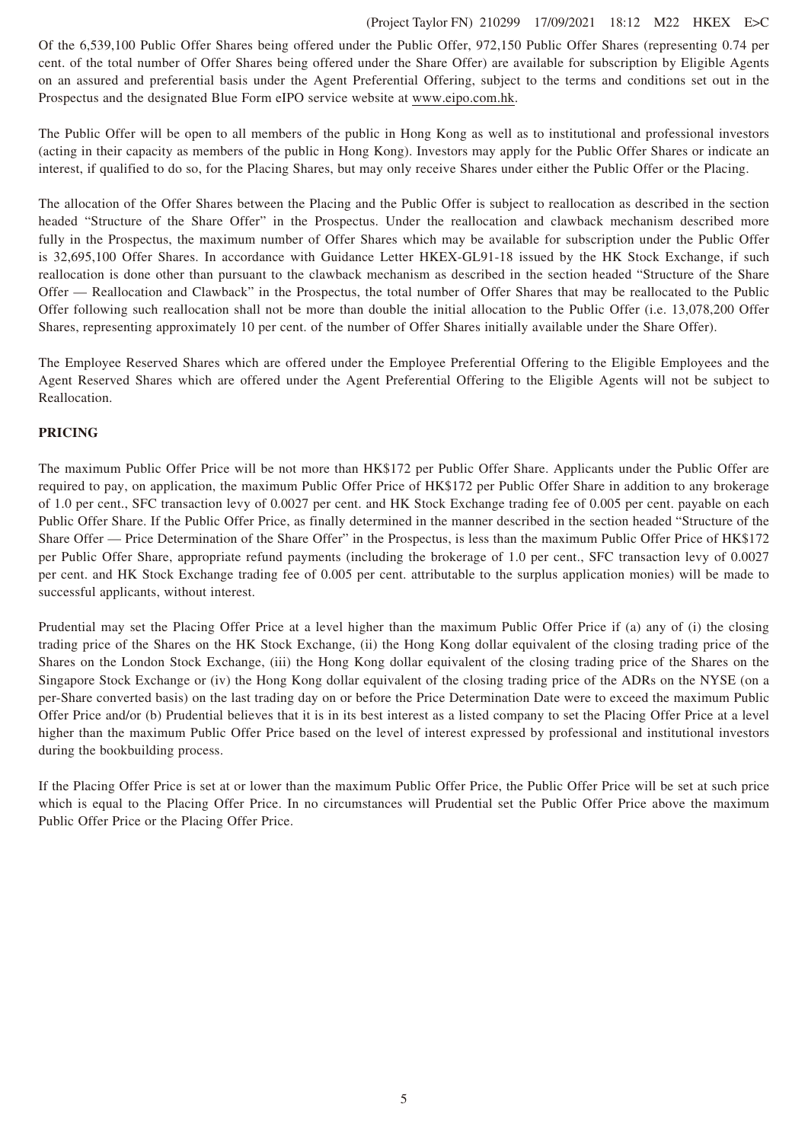# (Project Taylor FN) 210299 17/09/2021 18:12 M22 HKEX E>C

Of the 6,539,100 Public Offer Shares being offered under the Public Offer, 972,150 Public Offer Shares (representing 0.74 per cent. of the total number of Offer Shares being offered under the Share Offer) are available for subscription by Eligible Agents on an assured and preferential basis under the Agent Preferential Offering, subject to the terms and conditions set out in the Prospectus and the designated Blue Form eIPO service website at www.eipo.com.hk.

The Public Offer will be open to all members of the public in Hong Kong as well as to institutional and professional investors (acting in their capacity as members of the public in Hong Kong). Investors may apply for the Public Offer Shares or indicate an interest, if qualified to do so, for the Placing Shares, but may only receive Shares under either the Public Offer or the Placing.

The allocation of the Offer Shares between the Placing and the Public Offer is subject to reallocation as described in the section headed "Structure of the Share Offer" in the Prospectus. Under the reallocation and clawback mechanism described more fully in the Prospectus, the maximum number of Offer Shares which may be available for subscription under the Public Offer is 32,695,100 Offer Shares. In accordance with Guidance Letter HKEX-GL91-18 issued by the HK Stock Exchange, if such reallocation is done other than pursuant to the clawback mechanism as described in the section headed "Structure of the Share Offer — Reallocation and Clawback" in the Prospectus, the total number of Offer Shares that may be reallocated to the Public Offer following such reallocation shall not be more than double the initial allocation to the Public Offer (i.e. 13,078,200 Offer Shares, representing approximately 10 per cent. of the number of Offer Shares initially available under the Share Offer).

The Employee Reserved Shares which are offered under the Employee Preferential Offering to the Eligible Employees and the Agent Reserved Shares which are offered under the Agent Preferential Offering to the Eligible Agents will not be subject to Reallocation.

# **PRICING**

The maximum Public Offer Price will be not more than HK\$172 per Public Offer Share. Applicants under the Public Offer are required to pay, on application, the maximum Public Offer Price of HK\$172 per Public Offer Share in addition to any brokerage of 1.0 per cent., SFC transaction levy of 0.0027 per cent. and HK Stock Exchange trading fee of 0.005 per cent. payable on each Public Offer Share. If the Public Offer Price, as finally determined in the manner described in the section headed "Structure of the Share Offer — Price Determination of the Share Offer" in the Prospectus, is less than the maximum Public Offer Price of HK\$172 per Public Offer Share, appropriate refund payments (including the brokerage of 1.0 per cent., SFC transaction levy of 0.0027 per cent. and HK Stock Exchange trading fee of 0.005 per cent. attributable to the surplus application monies) will be made to successful applicants, without interest.

Prudential may set the Placing Offer Price at a level higher than the maximum Public Offer Price if (a) any of (i) the closing trading price of the Shares on the HK Stock Exchange, (ii) the Hong Kong dollar equivalent of the closing trading price of the Shares on the London Stock Exchange, (iii) the Hong Kong dollar equivalent of the closing trading price of the Shares on the Singapore Stock Exchange or (iv) the Hong Kong dollar equivalent of the closing trading price of the ADRs on the NYSE (on a per-Share converted basis) on the last trading day on or before the Price Determination Date were to exceed the maximum Public Offer Price and/or (b) Prudential believes that it is in its best interest as a listed company to set the Placing Offer Price at a level higher than the maximum Public Offer Price based on the level of interest expressed by professional and institutional investors during the bookbuilding process.

If the Placing Offer Price is set at or lower than the maximum Public Offer Price, the Public Offer Price will be set at such price which is equal to the Placing Offer Price. In no circumstances will Prudential set the Public Offer Price above the maximum Public Offer Price or the Placing Offer Price.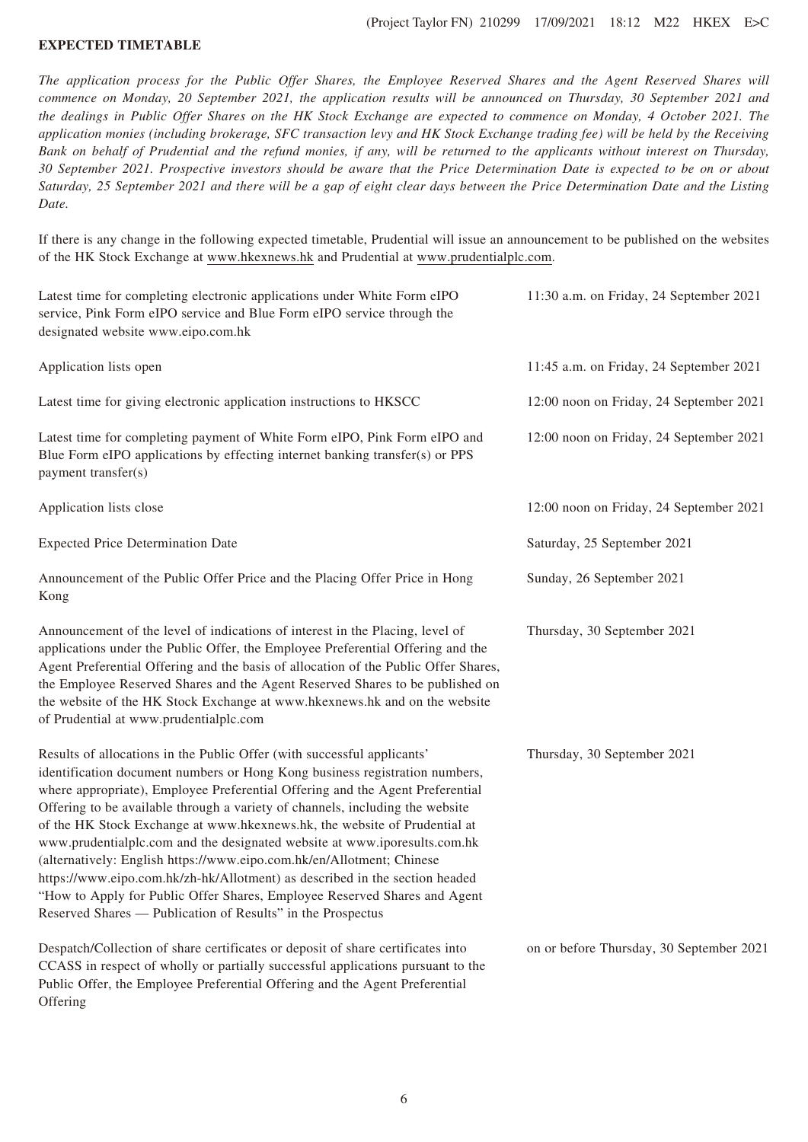#### **EXPECTED TIMETABLE**

*The application process for the Public Offer Shares, the Employee Reserved Shares and the Agent Reserved Shares will commence on Monday, 20 September 2021, the application results will be announced on Thursday, 30 September 2021 and the dealings in Public Offer Shares on the HK Stock Exchange are expected to commence on Monday, 4 October 2021. The application monies (including brokerage, SFC transaction levy and HK Stock Exchange trading fee) will be held by the Receiving Bank on behalf of Prudential and the refund monies, if any, will be returned to the applicants without interest on Thursday, 30 September 2021. Prospective investors should be aware that the Price Determination Date is expected to be on or about Saturday, 25 September 2021 and there will be a gap of eight clear days between the Price Determination Date and the Listing Date.*

If there is any change in the following expected timetable, Prudential will issue an announcement to be published on the websites of the HK Stock Exchange at www.hkexnews.hk and Prudential at www.prudentialplc.com.

| Latest time for completing electronic applications under White Form eIPO<br>service, Pink Form eIPO service and Blue Form eIPO service through the<br>designated website www.eipo.com.hk                                                                                                                                                                                                                                                                                                                                                                                                                                                                                                                                                                                               | 11:30 a.m. on Friday, 24 September 2021  |
|----------------------------------------------------------------------------------------------------------------------------------------------------------------------------------------------------------------------------------------------------------------------------------------------------------------------------------------------------------------------------------------------------------------------------------------------------------------------------------------------------------------------------------------------------------------------------------------------------------------------------------------------------------------------------------------------------------------------------------------------------------------------------------------|------------------------------------------|
| Application lists open                                                                                                                                                                                                                                                                                                                                                                                                                                                                                                                                                                                                                                                                                                                                                                 | 11:45 a.m. on Friday, 24 September 2021  |
| Latest time for giving electronic application instructions to HKSCC                                                                                                                                                                                                                                                                                                                                                                                                                                                                                                                                                                                                                                                                                                                    | 12:00 noon on Friday, 24 September 2021  |
| Latest time for completing payment of White Form eIPO, Pink Form eIPO and<br>Blue Form eIPO applications by effecting internet banking transfer(s) or PPS<br>payment transfer(s)                                                                                                                                                                                                                                                                                                                                                                                                                                                                                                                                                                                                       | 12:00 noon on Friday, 24 September 2021  |
| Application lists close                                                                                                                                                                                                                                                                                                                                                                                                                                                                                                                                                                                                                                                                                                                                                                | 12:00 noon on Friday, 24 September 2021  |
| <b>Expected Price Determination Date</b>                                                                                                                                                                                                                                                                                                                                                                                                                                                                                                                                                                                                                                                                                                                                               | Saturday, 25 September 2021              |
| Announcement of the Public Offer Price and the Placing Offer Price in Hong<br>Kong                                                                                                                                                                                                                                                                                                                                                                                                                                                                                                                                                                                                                                                                                                     | Sunday, 26 September 2021                |
| Announcement of the level of indications of interest in the Placing, level of<br>applications under the Public Offer, the Employee Preferential Offering and the<br>Agent Preferential Offering and the basis of allocation of the Public Offer Shares,<br>the Employee Reserved Shares and the Agent Reserved Shares to be published on<br>the website of the HK Stock Exchange at www.hkexnews.hk and on the website<br>of Prudential at www.prudentialplc.com                                                                                                                                                                                                                                                                                                                       | Thursday, 30 September 2021              |
| Results of allocations in the Public Offer (with successful applicants'<br>identification document numbers or Hong Kong business registration numbers,<br>where appropriate), Employee Preferential Offering and the Agent Preferential<br>Offering to be available through a variety of channels, including the website<br>of the HK Stock Exchange at www.hkexnews.hk, the website of Prudential at<br>www.prudentialplc.com and the designated website at www.iporesults.com.hk<br>(alternatively: English https://www.eipo.com.hk/en/Allotment; Chinese<br>https://www.eipo.com.hk/zh-hk/Allotment) as described in the section headed<br>"How to Apply for Public Offer Shares, Employee Reserved Shares and Agent<br>Reserved Shares — Publication of Results" in the Prospectus | Thursday, 30 September 2021              |
| Despatch/Collection of share certificates or deposit of share certificates into<br>CCASS in respect of wholly or partially successful applications pursuant to the<br>Public Offer, the Employee Preferential Offering and the Agent Preferential<br>Offering                                                                                                                                                                                                                                                                                                                                                                                                                                                                                                                          | on or before Thursday, 30 September 2021 |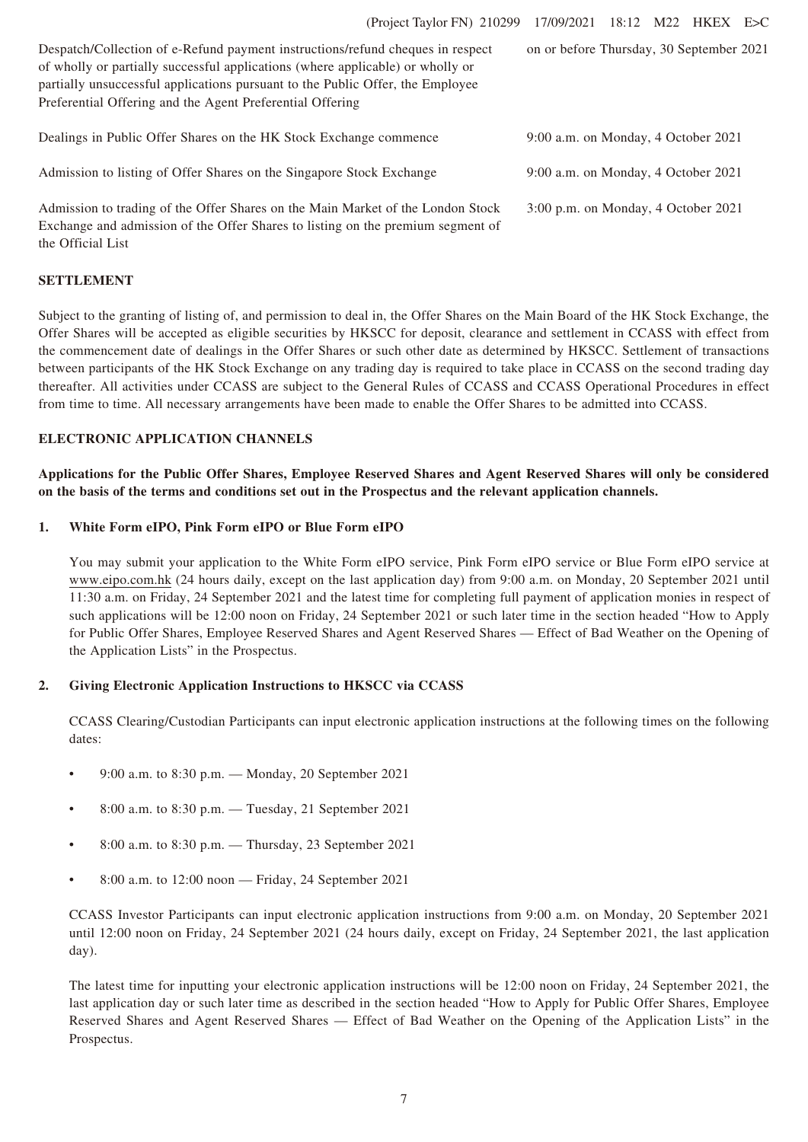| Despatch/Collection of e-Refund payment instructions/refund cheques in respect<br>of wholly or partially successful applications (where applicable) or wholly or<br>partially unsuccessful applications pursuant to the Public Offer, the Employee<br>Preferential Offering and the Agent Preferential Offering | on or before Thursday, 30 September 2021 |
|-----------------------------------------------------------------------------------------------------------------------------------------------------------------------------------------------------------------------------------------------------------------------------------------------------------------|------------------------------------------|
| Dealings in Public Offer Shares on the HK Stock Exchange commence                                                                                                                                                                                                                                               | 9:00 a.m. on Monday, 4 October 2021      |
| Admission to listing of Offer Shares on the Singapore Stock Exchange                                                                                                                                                                                                                                            | 9:00 a.m. on Monday, 4 October 2021      |
| Admission to trading of the Offer Shares on the Main Market of the London Stock<br>Exchange and admission of the Offer Shares to listing on the premium segment of                                                                                                                                              | $3:00$ p.m. on Monday, 4 October 2021    |

# **SETTLEMENT**

the Official List

Subject to the granting of listing of, and permission to deal in, the Offer Shares on the Main Board of the HK Stock Exchange, the Offer Shares will be accepted as eligible securities by HKSCC for deposit, clearance and settlement in CCASS with effect from the commencement date of dealings in the Offer Shares or such other date as determined by HKSCC. Settlement of transactions between participants of the HK Stock Exchange on any trading day is required to take place in CCASS on the second trading day thereafter. All activities under CCASS are subject to the General Rules of CCASS and CCASS Operational Procedures in effect from time to time. All necessary arrangements have been made to enable the Offer Shares to be admitted into CCASS.

# **ELECTRONIC APPLICATION CHANNELS**

**Applications for the Public Offer Shares, Employee Reserved Shares and Agent Reserved Shares will only be considered on the basis of the terms and conditions set out in the Prospectus and the relevant application channels.**

#### **1. White Form eIPO, Pink Form eIPO or Blue Form eIPO**

You may submit your application to the White Form eIPO service, Pink Form eIPO service or Blue Form eIPO service at www.eipo.com.hk (24 hours daily, except on the last application day) from 9:00 a.m. on Monday, 20 September 2021 until 11:30 a.m. on Friday, 24 September 2021 and the latest time for completing full payment of application monies in respect of such applications will be 12:00 noon on Friday, 24 September 2021 or such later time in the section headed "How to Apply for Public Offer Shares, Employee Reserved Shares and Agent Reserved Shares — Effect of Bad Weather on the Opening of the Application Lists" in the Prospectus.

# **2. Giving Electronic Application Instructions to HKSCC via CCASS**

CCASS Clearing/Custodian Participants can input electronic application instructions at the following times on the following dates:

- 9:00 a.m. to 8:30 p.m. Monday, 20 September 2021
- 8:00 a.m. to 8:30 p.m. Tuesday, 21 September 2021
- 8:00 a.m. to 8:30 p.m. Thursday, 23 September 2021
- 8:00 a.m. to 12:00 noon Friday, 24 September 2021

CCASS Investor Participants can input electronic application instructions from 9:00 a.m. on Monday, 20 September 2021 until 12:00 noon on Friday, 24 September 2021 (24 hours daily, except on Friday, 24 September 2021, the last application day).

The latest time for inputting your electronic application instructions will be 12:00 noon on Friday, 24 September 2021, the last application day or such later time as described in the section headed "How to Apply for Public Offer Shares, Employee Reserved Shares and Agent Reserved Shares — Effect of Bad Weather on the Opening of the Application Lists" in the Prospectus.